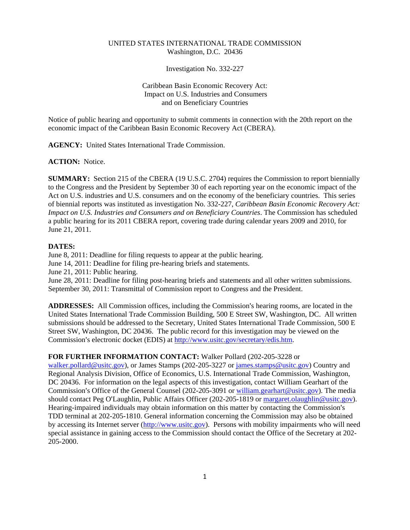## UNITED STATES INTERNATIONAL TRADE COMMISSION Washington, D.C. 20436

Investigation No. 332-227

## Caribbean Basin Economic Recovery Act: Impact on U.S. Industries and Consumers and on Beneficiary Countries

Notice of public hearing and opportunity to submit comments in connection with the 20th report on the economic impact of the Caribbean Basin Economic Recovery Act (CBERA).

**AGENCY:** United States International Trade Commission.

**ACTION:** Notice.

**SUMMARY:** Section 215 of the CBERA (19 U.S.C. 2704) requires the Commission to report biennially to the Congress and the President by September 30 of each reporting year on the economic impact of the Act on U.S. industries and U.S. consumers and on the economy of the beneficiary countries. This series of biennial reports was instituted as investigation No. 332-227, *Caribbean Basin Economic Recovery Act: Impact on U.S. Industries and Consumers and on Beneficiary Countries*. The Commission has scheduled a public hearing for its 2011 CBERA report, covering trade during calendar years 2009 and 2010, for June 21, 2011.

## **DATES:**

June 8, 2011: Deadline for filing requests to appear at the public hearing.

June 14, 2011: Deadline for filing pre-hearing briefs and statements.

June 21, 2011: Public hearing.

June 28, 2011: Deadline for filing post-hearing briefs and statements and all other written submissions. September 30, 2011: Transmittal of Commission report to Congress and the President.

ADDRESSES: All Commission offices, including the Commission's hearing rooms, are located in the United States International Trade Commission Building, 500 E Street SW, Washington, DC. All written submissions should be addressed to the Secretary, United States International Trade Commission, 500 E Street SW, Washington, DC 20436. The public record for this investigation may be viewed on the Commission's electronic docket (EDIS) at http://www.usitc.gov/secretary/edis.htm.

## **FOR FURTHER INFORMATION CONTACT:** Walker Pollard (202-205-3228 or

walker.pollard@usitc.gov), or James Stamps (202-205-3227 or james.stamps@usitc.gov) Country and Regional Analysis Division, Office of Economics, U.S. International Trade Commission, Washington, DC 20436. For information on the legal aspects of this investigation, contact William Gearhart of the Commission's Office of the General Counsel (202-205-3091 or william.gearhart@usitc.gov). The media should contact Peg O'Laughlin, Public Affairs Officer (202-205-1819 or margaret.olaughlin@usitc.gov). Hearing-impaired individuals may obtain information on this matter by contacting the Commission's TDD terminal at 202-205-1810. General information concerning the Commission may also be obtained by accessing its Internet server (http://www.usitc.gov). Persons with mobility impairments who will need special assistance in gaining access to the Commission should contact the Office of the Secretary at 202- 205-2000.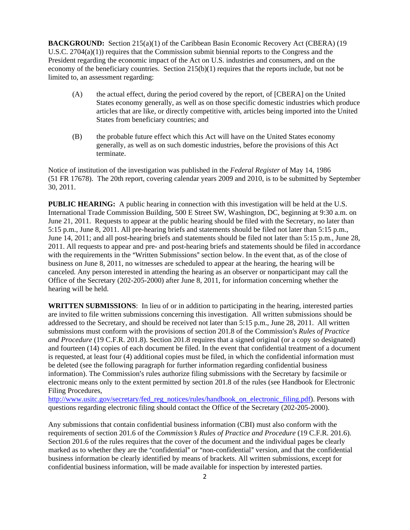**BACKGROUND:** Section 215(a)(1) of the Caribbean Basin Economic Recovery Act (CBERA) (19 U.S.C. 2704(a)(1)) requires that the Commission submit biennial reports to the Congress and the President regarding the economic impact of the Act on U.S. industries and consumers, and on the economy of the beneficiary countries. Section 215(b)(1) requires that the reports include, but not be limited to, an assessment regarding:

- (A) the actual effect, during the period covered by the report, of [CBERA] on the United States economy generally, as well as on those specific domestic industries which produce articles that are like, or directly competitive with, articles being imported into the United States from beneficiary countries; and
- (B) the probable future effect which this Act will have on the United States economy generally, as well as on such domestic industries, before the provisions of this Act terminate.

Notice of institution of the investigation was published in the *Federal Register* of May 14, 1986 (51 FR 17678). The 20th report, covering calendar years 2009 and 2010, is to be submitted by September 30, 2011.

**PUBLIC HEARING:** A public hearing in connection with this investigation will be held at the U.S. International Trade Commission Building, 500 E Street SW, Washington, DC, beginning at 9:30 a.m. on June 21, 2011. Requests to appear at the public hearing should be filed with the Secretary, no later than 5:15 p.m., June 8, 2011. All pre-hearing briefs and statements should be filed not later than 5:15 p.m., June 14, 2011; and all post-hearing briefs and statements should be filed not later than 5:15 p.m., June 28, 2011. All requests to appear and pre- and post-hearing briefs and statements should be filed in accordance with the requirements in the "Written Submissions" section below. In the event that, as of the close of business on June 8, 2011, no witnesses are scheduled to appear at the hearing, the hearing will be canceled. Any person interested in attending the hearing as an observer or nonparticipant may call the Office of the Secretary (202-205-2000) after June 8, 2011, for information concerning whether the hearing will be held.

**WRITTEN SUBMISSIONS**: In lieu of or in addition to participating in the hearing, interested parties are invited to file written submissions concerning this investigation. All written submissions should be addressed to the Secretary, and should be received not later than 5:15 p.m., June 28, 2011. All written submissions must conform with the provisions of section 201.8 of the Commission's *Rules of Practice and Procedure* (19 C.F.R. 201.8). Section 201.8 requires that a signed original (or a copy so designated) and fourteen (14) copies of each document be filed. In the event that confidential treatment of a document is requested, at least four (4) additional copies must be filed, in which the confidential information must be deleted (see the following paragraph for further information regarding confidential business information). The Commission's rules authorize filing submissions with the Secretary by facsimile or electronic means only to the extent permitted by section 201.8 of the rules (see Handbook for Electronic Filing Procedures,

http://www.usitc.gov/secretary/fed\_reg\_notices/rules/handbook\_on\_electronic\_filing.pdf). Persons with questions regarding electronic filing should contact the Office of the Secretary (202-205-2000).

Any submissions that contain confidential business information (CBI) must also conform with the requirements of section 201.6 of the *Commission*=*s Rules of Practice and Procedure* (19 C.F.R. 201.6). Section 201.6 of the rules requires that the cover of the document and the individual pages be clearly marked as to whether they are the "confidential" or "non-confidential" version, and that the confidential business information be clearly identified by means of brackets. All written submissions, except for confidential business information, will be made available for inspection by interested parties.